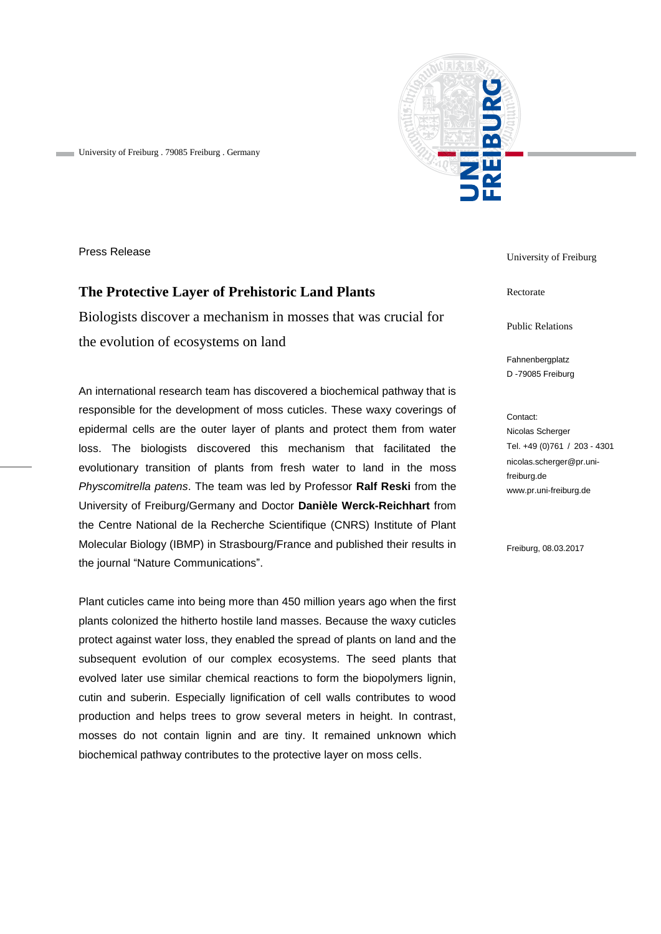

University of Freiburg . 79085 Freiburg . Germany

Press Release

## **The Protective Layer of Prehistoric Land Plants**

Biologists discover a mechanism in mosses that was crucial for the evolution of ecosystems on land

An international research team has discovered a biochemical pathway that is responsible for the development of moss cuticles. These waxy coverings of epidermal cells are the outer layer of plants and protect them from water loss. The biologists discovered this mechanism that facilitated the evolutionary transition of plants from fresh water to land in the moss *Physcomitrella patens*. The team was led by Professor **Ralf Reski** from the University of Freiburg/Germany and Doctor **Danièle Werck-Reichhart** from the Centre National de la Recherche Scientifique (CNRS) Institute of Plant Molecular Biology (IBMP) in Strasbourg/France and published their results in the journal "Nature Communications".

Plant cuticles came into being more than 450 million years ago when the first plants colonized the hitherto hostile land masses. Because the waxy cuticles protect against water loss, they enabled the spread of plants on land and the subsequent evolution of our complex ecosystems. The seed plants that evolved later use similar chemical reactions to form the biopolymers lignin, cutin and suberin. Especially lignification of cell walls contributes to wood production and helps trees to grow several meters in height. In contrast, mosses do not contain lignin and are tiny. It remained unknown which biochemical pathway contributes to the protective layer on moss cells.

University of Freiburg

Rectorate

Public Relations

Fahnenbergplatz D -79085 Freiburg

Contact: Nicolas Scherger Tel. +49 (0)761 / 203 - 4301 nicolas.scherger@pr.unifreiburg.de www.pr.uni-freiburg.de

Freiburg, 08.03.2017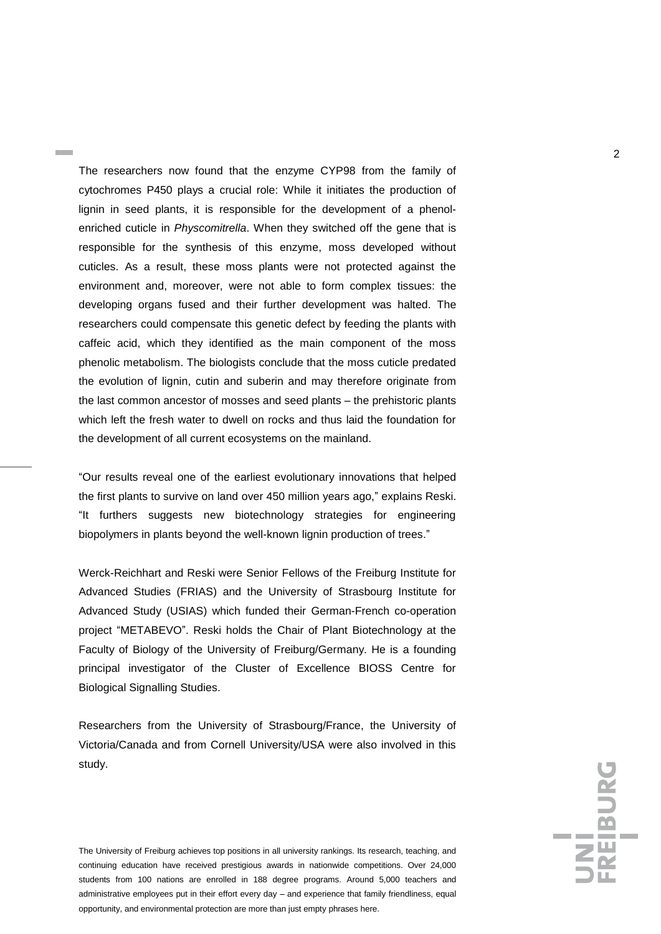The researchers now found that the enzyme CYP98 from the family of cytochromes P450 plays a crucial role: While it initiates the production of lignin in seed plants, it is responsible for the development of a phenolenriched cuticle in *Physcomitrella*. When they switched off the gene that is responsible for the synthesis of this enzyme, moss developed without cuticles. As a result, these moss plants were not protected against the environment and, moreover, were not able to form complex tissues: the developing organs fused and their further development was halted. The researchers could compensate this genetic defect by feeding the plants with caffeic acid, which they identified as the main component of the moss phenolic metabolism. The biologists conclude that the moss cuticle predated the evolution of lignin, cutin and suberin and may therefore originate from the last common ancestor of mosses and seed plants – the prehistoric plants which left the fresh water to dwell on rocks and thus laid the foundation for the development of all current ecosystems on the mainland.

"Our results reveal one of the earliest evolutionary innovations that helped the first plants to survive on land over 450 million years ago," explains Reski. "It furthers suggests new biotechnology strategies for engineering biopolymers in plants beyond the well-known lignin production of trees."

Werck-Reichhart and Reski were Senior Fellows of the Freiburg Institute for Advanced Studies (FRIAS) and the University of Strasbourg Institute for Advanced Study (USIAS) which funded their German-French co-operation project "METABEVO". Reski holds the Chair of Plant Biotechnology at the Faculty of Biology of the University of Freiburg/Germany. He is a founding principal investigator of the Cluster of Excellence BIOSS Centre for Biological Signalling Studies.

Researchers from the University of Strasbourg/France, the University of Victoria/Canada and from Cornell University/USA were also involved in this study.

The University of Freiburg achieves top positions in all university rankings. Its research, teaching, and continuing education have received prestigious awards in nationwide competitions. Over 24,000 students from 100 nations are enrolled in 188 degree programs. Around 5,000 teachers and administrative employees put in their effort every day – and experience that family friendliness, equal opportunity, and environmental protection are more than just empty phrases here.